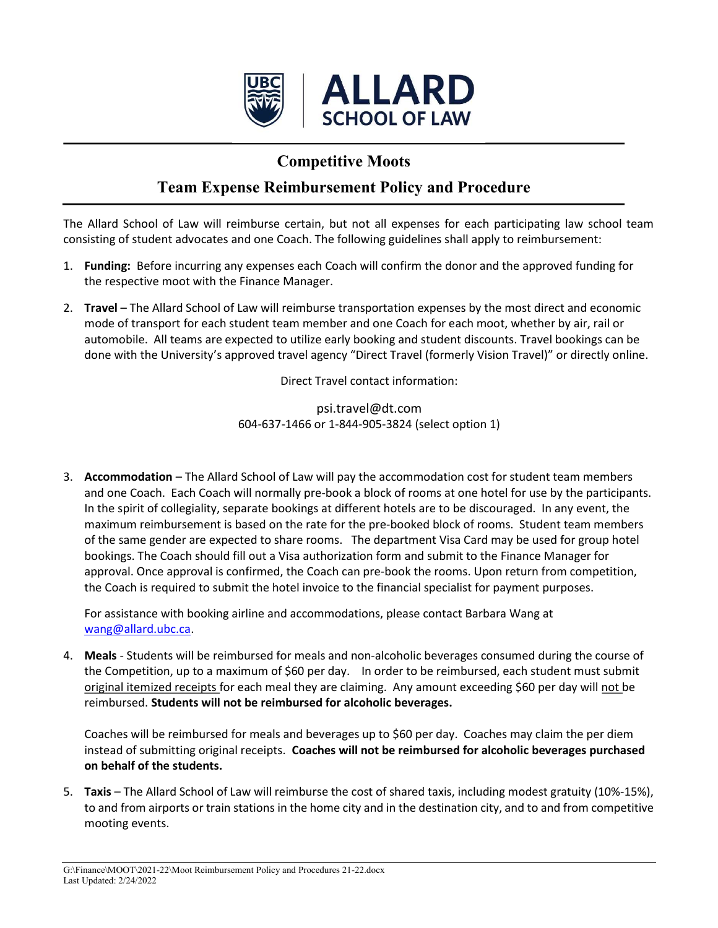

## Competitive Moots

## Team Expense Reimbursement Policy and Procedure

The Allard School of Law will reimburse certain, but not all expenses for each participating law school team consisting of student advocates and one Coach. The following guidelines shall apply to reimbursement:

- 1. Funding: Before incurring any expenses each Coach will confirm the donor and the approved funding for the respective moot with the Finance Manager.
- 2. Travel The Allard School of Law will reimburse transportation expenses by the most direct and economic mode of transport for each student team member and one Coach for each moot, whether by air, rail or automobile. All teams are expected to utilize early booking and student discounts. Travel bookings can be done with the University's approved travel agency "Direct Travel (formerly Vision Travel)" or directly online.

Direct Travel contact information:

psi.travel@dt.com 604-637-1466 or 1-844-905-3824 (select option 1)

3. Accommodation – The Allard School of Law will pay the accommodation cost for student team members and one Coach. Each Coach will normally pre-book a block of rooms at one hotel for use by the participants. In the spirit of collegiality, separate bookings at different hotels are to be discouraged. In any event, the maximum reimbursement is based on the rate for the pre-booked block of rooms. Student team members of the same gender are expected to share rooms. The department Visa Card may be used for group hotel bookings. The Coach should fill out a Visa authorization form and submit to the Finance Manager for approval. Once approval is confirmed, the Coach can pre-book the rooms. Upon return from competition, the Coach is required to submit the hotel invoice to the financial specialist for payment purposes.

For assistance with booking airline and accommodations, please contact Barbara Wang at wang@allard.ubc.ca.

4. Meals - Students will be reimbursed for meals and non-alcoholic beverages consumed during the course of the Competition, up to a maximum of \$60 per day. In order to be reimbursed, each student must submit original itemized receipts for each meal they are claiming. Any amount exceeding \$60 per day will not be reimbursed. Students will not be reimbursed for alcoholic beverages.

Coaches will be reimbursed for meals and beverages up to \$60 per day. Coaches may claim the per diem instead of submitting original receipts. Coaches will not be reimbursed for alcoholic beverages purchased on behalf of the students.

5. Taxis – The Allard School of Law will reimburse the cost of shared taxis, including modest gratuity (10%-15%), to and from airports or train stations in the home city and in the destination city, and to and from competitive mooting events.